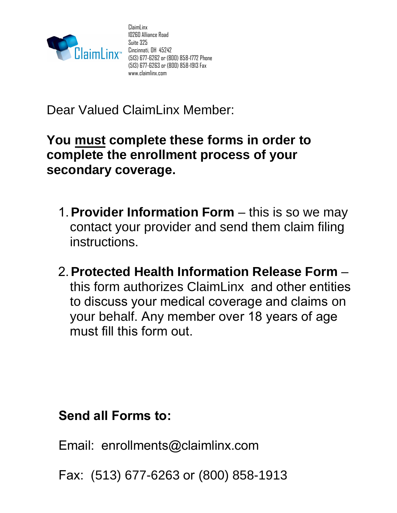

ClaimLinx 10260 Alliance Road Suite 325 Cincinnati, OH 45242 (513) 677-6262 or (800) 858-1772 Phone (513) 677-6263 or (800) 858-1913 Fax www.claimlinx.com

Dear Valued ClaimLinx Member:

## **You must complete these forms in order to complete the enrollment process of your secondary coverage.**

- 1.**Provider Information Form** this is so we may contact your provider and send them claim filing instructions.
- 2.**Protected Health Information Release Form** this form authorizes ClaimLinx and other entities to discuss your medical coverage and claims on your behalf. Any member over 18 years of age must fill this form out.

**Send all Forms to:**

Email: enrollments@claimlinx.com

Fax: (513) 677-6263 or (800) 858-1913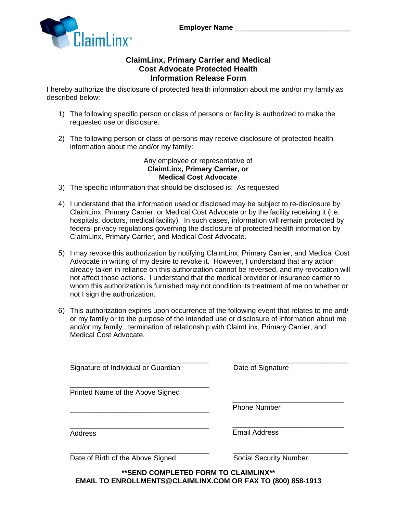

## **ClaimLinx, Primary Carrier and Medical Cost Advocate Protected Health Information Release Form**

I hereby authorize the disclosure of protected health information about me and/or my family as described below:

- 1) The following specific person or class of persons or facility is authorized to make the requested use or disclosure.
- 2) The following person or class of persons may receive disclosure of protected health information about me and/or my family:

Any employee or representative of **ClaimLinx, Primary Carrier, or Medical Cost Advocate** 

- 3) The specific information that should be disclosed is: As requested
- 4) I understand that the information used or disclosed may be subject to re-disclosure by ClaimLinx, Primary Carrier, or Medical Cost Advocate or by the facility receiving it (i.e. hospitals, doctors, medical facility). In such cases, information will remain protected by federal privacy regulations governing the disclosure of protected health information by ClaimLinx, Primary Carrier, and Medical Cost Advocate.
- 5) I may revoke this authorization by notifying ClaimLinx, Primary Carrier, and Medical Cost Advocate in writing of my desire to revoke it. However, I understand that any action already taken in reliance on this authorization cannot be reversed, and my revocation will not affect those actions. I understand that the medical provider or insurance carrier to whom this authorization is furnished may not condition its treatment of me on whether or not I sign the authorization.
- 6) This authorization expires upon occurrence of the following event that relates to me and/ or my family or to the purpose of the intended use or disclosure of information about me and/or my family: termination of relationship with ClaimLinx, Primary Carrier, and Medical Cost Advocate.

\_\_\_\_\_\_\_\_\_\_\_\_\_\_\_\_\_\_\_\_\_\_\_\_\_\_\_\_\_\_\_\_\_\_\_ \_\_\_\_\_\_\_\_\_\_\_\_\_\_\_\_\_\_\_\_\_\_\_\_\_\_\_\_\_ Signature of Individual or Guardian **Date of Signature** 

\_\_\_\_\_\_\_\_\_\_\_\_\_\_\_\_\_\_\_\_\_\_\_\_\_\_\_\_\_\_\_\_\_\_\_ Printed Name of the Above Signed

\_\_\_\_\_\_\_\_\_\_\_\_\_\_\_\_\_\_\_\_\_\_\_\_\_\_\_\_\_\_\_\_\_\_\_

\_\_\_\_\_\_\_\_\_\_\_\_\_\_\_\_\_\_\_\_\_\_\_\_\_\_\_\_ Phone Number

\_\_\_\_\_\_\_\_\_\_\_\_\_\_\_\_\_\_\_\_\_\_\_\_\_\_\_\_\_\_\_\_\_\_\_ Address

 $\mathcal{L}_\text{max}$  , which is a set of the set of the set of the set of the set of the set of the set of the set of the set of the set of the set of the set of the set of the set of the set of the set of the set of the set of Email Address

Date of Birth of the Above Signed Social Security Number

\_\_\_\_\_\_\_\_\_\_\_\_\_\_\_\_\_\_\_\_\_\_\_\_\_\_\_\_\_\_\_\_\_\_\_ \_\_\_\_\_\_\_\_\_\_\_\_\_\_\_\_\_\_\_\_\_\_\_\_\_\_\_\_\_

**\*\*SEND COMPLETED FORM TO CLAIMLINX\*\* EMAIL TO ENROLLMENTS@CLAIMLINX.COM OR FAX TO (800) 858-1913**